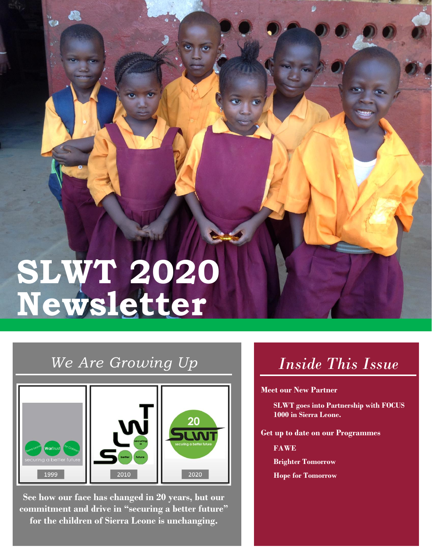# **SLWT 2020 Newsletter**

## *We Are Growing Up*



**See how our face has changed in 20 years, but our commitment and drive in "securing a better future" for the children of Sierra Leone is unchanging.**

# *Inside This Issue*

**Meet our New Partner**

**SLWT goes into Partnership with FOCUS 1000 in Sierra Leone.**

**Get up to date on our Programmes**

**FAWE**

**Brighter Tomorrow**

**Hope for Tomorrow**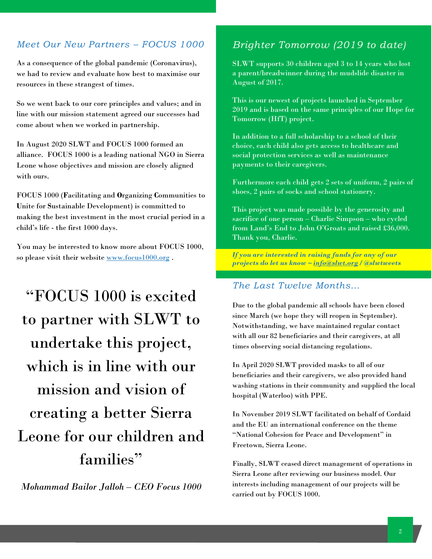#### *Meet Our New Partners – FOCUS 1000*

As a consequence of the global pandemic (Coronavirus), we had to review and evaluate how best to maximise our resources in these strangest of times.

So we went back to our core principles and values; and in line with our mission statement agreed our successes had come about when we worked in partnership.

In August 2020 SLWT and FOCUS 1000 formed an alliance. FOCUS 1000 is a leading national NGO in Sierra Leone whose objectives and mission are closely aligned with ours.

FOCUS 1000 (**F**acilitating and **O**rganizing **C**ommunities to **U**nite for **S**ustainable Development) is committed to making the best investment in the most crucial period in a child's life - the first 1000 days.

You may be interested to know more about FOCUS 1000, so please visit their website [www.focus1000.org](http://www.focus1000.org/) .

"FOCUS 1000 is excited to partner with SLWT to undertake this project, which is in line with our mission and vision of creating a better Sierra Leone for our children and families"

*Mohammad Bailor Jalloh – CEO Focus 1000*

## *Brighter Tomorrow (2019 to date)*

SLWT supports 30 children aged 3 to 14 years who lost a parent/breadwinner during the mudslide disaster in August of 2017.

This is our newest of projects launched in September 2019 and is based on the same principles of our Hope for Tomorrow (HfT) project.

In addition to a full scholarship to a school of their choice, each child also gets access to healthcare and social protection services as well as maintenance payments to their caregivers.

Furthermore each child gets 2 sets of uniform, 2 pairs of shoes, 2 pairs of socks and school stationery.

This project was made possible by the generosity and sacrifice of one person – Charlie Simpson – who cycled from Land's End to John O'Groats and raised £36,000. Thank you, Charlie.

*If you are interested in raising funds for any of our projects do let us know – [info@slwt.org](mailto:info@slwt.org) / @slwtweets*

#### *The Last Twelve Months…*

Due to the global pandemic all schools have been closed since March (we hope they will reopen in September). Notwithstanding, we have maintained regular contact with all our 82 beneficiaries and their caregivers, at all times observing social distancing regulations.

In April 2020 SLWT provided masks to all of our beneficiaries and their caregivers, we also provided hand washing stations in their community and supplied the local hospital (Waterloo) with PPE.

In November 2019 SLWT facilitated on behalf of Cordaid and the EU an international conference on the theme "National Cohesion for Peace and Development" in Freetown, Sierra Leone.

Finally, SLWT ceased direct management of operations in Sierra Leone after reviewing our business model. Our interests including management of our projects will be carried out by FOCUS 1000.